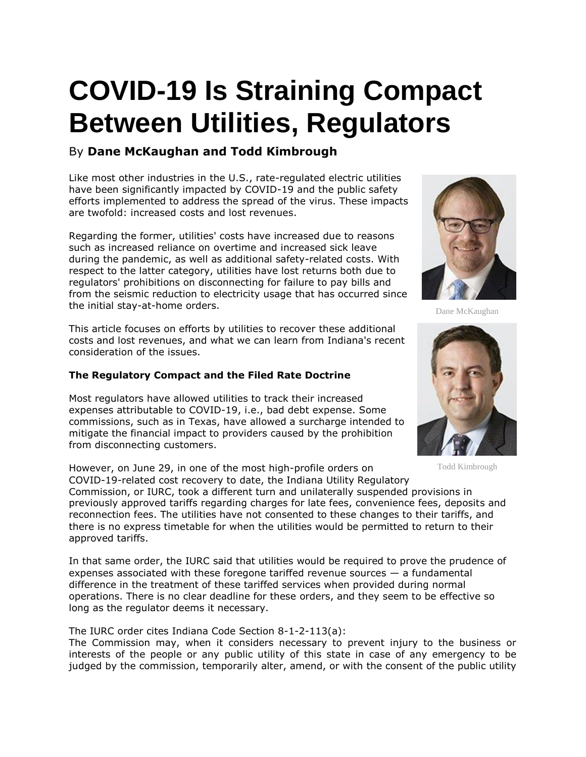## **COVID-19 Is Straining Compact Between Utilities, Regulators**

## By **Dane McKaughan and Todd Kimbrough**

Like most other industries in the U.S., rate-regulated electric utilities have been significantly impacted by COVID-19 and the public safety efforts implemented to address the spread of the virus. These impacts are twofold: increased costs and lost revenues.

Regarding the former, utilities' costs have increased due to reasons such as increased reliance on overtime and increased sick leave during the pandemic, as well as additional safety-related costs. With respect to the latter category, utilities have lost returns both due to regulators' prohibitions on disconnecting for failure to pay bills and from the seismic reduction to electricity usage that has occurred since the initial stay-at-home orders.

This article focuses on efforts by utilities to recover these additional costs and lost revenues, and what we can learn from Indiana's recent consideration of the issues.

## **The Regulatory Compact and the Filed Rate Doctrine**

Most regulators have allowed utilities to track their increased expenses attributable to COVID-19, i.e., bad debt expense. Some commissions, such as in Texas, have allowed a surcharge intended to mitigate the financial impact to providers caused by the prohibition from disconnecting customers.

However, on June 29, in one of the most high-profile orders on COVID-19-related cost recovery to date, the Indiana Utility Regulatory Commission, or IURC, took a different turn and unilaterally suspended provisions in previously approved tariffs regarding charges for late fees, convenience fees, deposits and reconnection fees. The utilities have not consented to these changes to their tariffs, and there is no express timetable for when the utilities would be permitted to return to their approved tariffs.

In that same order, the IURC said that utilities would be required to prove the prudence of expenses associated with these foregone tariffed revenue sources — a fundamental difference in the treatment of these tariffed services when provided during normal operations. There is no clear deadline for these orders, and they seem to be effective so long as the regulator deems it necessary.

The IURC order cites Indiana Code Section 8-1-2-113(a):

The Commission may, when it considers necessary to prevent injury to the business or interests of the people or any public utility of this state in case of any emergency to be judged by the commission, temporarily alter, amend, or with the consent of the public utility



Dane McKaughan



Todd Kimbrough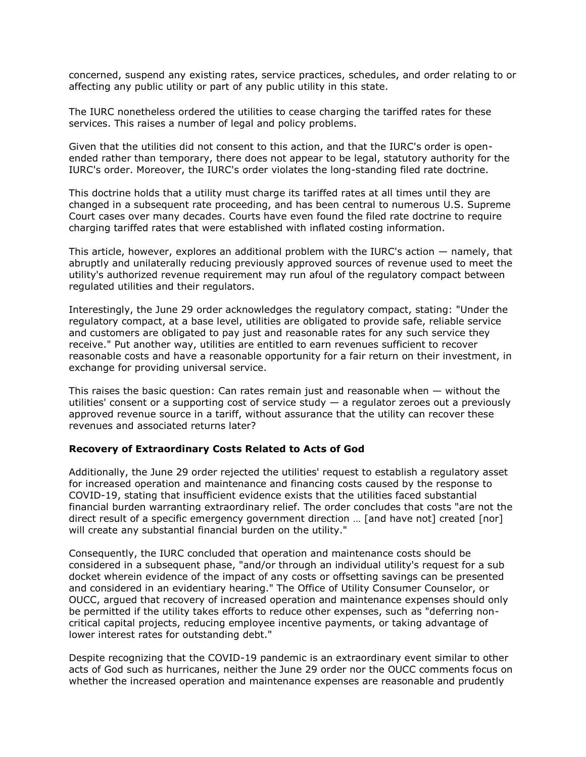concerned, suspend any existing rates, service practices, schedules, and order relating to or affecting any public utility or part of any public utility in this state.

The IURC nonetheless ordered the utilities to cease charging the tariffed rates for these services. This raises a number of legal and policy problems.

Given that the utilities did not consent to this action, and that the IURC's order is openended rather than temporary, there does not appear to be legal, statutory authority for the IURC's order. Moreover, the IURC's order violates the long-standing filed rate doctrine.

This doctrine holds that a utility must charge its tariffed rates at all times until they are changed in a subsequent rate proceeding, and has been central to numerous [U.S. Supreme](https://www.law360.com/agencies/u-s-supreme-court)  [Court](https://www.law360.com/agencies/u-s-supreme-court) cases over many decades. Courts have even found the filed rate doctrine to require charging tariffed rates that were established with inflated costing information.

This article, however, explores an additional problem with the IURC's action — namely, that abruptly and unilaterally reducing previously approved sources of revenue used to meet the utility's authorized revenue requirement may run afoul of the regulatory compact between regulated utilities and their regulators.

Interestingly, the June 29 order acknowledges the regulatory compact, stating: "Under the regulatory compact, at a base level, utilities are obligated to provide safe, reliable service and customers are obligated to pay just and reasonable rates for any such service they receive." Put another way, utilities are entitled to earn revenues sufficient to recover reasonable costs and have a reasonable opportunity for a fair return on their investment, in exchange for providing universal service.

This raises the basic question: Can rates remain just and reasonable when — without the utilities' consent or a supporting cost of service study  $-$  a regulator zeroes out a previously approved revenue source in a tariff, without assurance that the utility can recover these revenues and associated returns later?

## **Recovery of Extraordinary Costs Related to Acts of God**

Additionally, the June 29 order rejected the utilities' request to establish a regulatory asset for increased operation and maintenance and financing costs caused by the response to COVID-19, stating that insufficient evidence exists that the utilities faced substantial financial burden warranting extraordinary relief. The order concludes that costs "are not the direct result of a specific emergency government direction … [and have not] created [nor] will create any substantial financial burden on the utility."

Consequently, the IURC concluded that operation and maintenance costs should be considered in a subsequent phase, "and/or through an individual utility's request for a sub docket wherein evidence of the impact of any costs or offsetting savings can be presented and considered in an evidentiary hearing." The Office of Utility Consumer Counselor, or OUCC, argued that recovery of increased operation and maintenance expenses should only be permitted if the utility takes efforts to reduce other expenses, such as "deferring noncritical capital projects, reducing employee incentive payments, or taking advantage of lower interest rates for outstanding debt."

Despite recognizing that the COVID-19 pandemic is an extraordinary event similar to other acts of God such as hurricanes, neither the June 29 order nor the OUCC comments focus on whether the increased operation and maintenance expenses are reasonable and prudently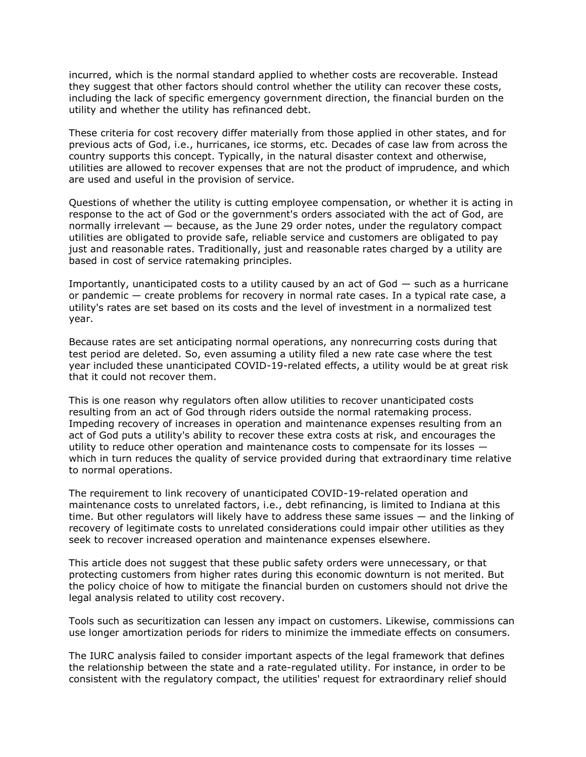incurred, which is the normal standard applied to whether costs are recoverable. Instead they suggest that other factors should control whether the utility can recover these costs, including the lack of specific emergency government direction, the financial burden on the utility and whether the utility has refinanced debt.

These criteria for cost recovery differ materially from those applied in other states, and for previous acts of God, i.e., hurricanes, ice storms, etc. Decades of case law from across the country supports this concept. Typically, in the natural disaster context and otherwise, utilities are allowed to recover expenses that are not the product of imprudence, and which are used and useful in the provision of service.

Questions of whether the utility is cutting employee compensation, or whether it is acting in response to the act of God or the government's orders associated with the act of God, are normally irrelevant — because, as the June 29 order notes, under the regulatory compact utilities are obligated to provide safe, reliable service and customers are obligated to pay just and reasonable rates. Traditionally, just and reasonable rates charged by a utility are based in cost of service ratemaking principles.

Importantly, unanticipated costs to a utility caused by an act of  $God - such as a hurricane$ or pandemic — create problems for recovery in normal rate cases. In a typical rate case, a utility's rates are set based on its costs and the level of investment in a normalized test year.

Because rates are set anticipating normal operations, any nonrecurring costs during that test period are deleted. So, even assuming a utility filed a new rate case where the test year included these unanticipated COVID-19-related effects, a utility would be at great risk that it could not recover them.

This is one reason why regulators often allow utilities to recover unanticipated costs resulting from an act of God through riders outside the normal ratemaking process. Impeding recovery of increases in operation and maintenance expenses resulting from an act of God puts a utility's ability to recover these extra costs at risk, and encourages the utility to reduce other operation and maintenance costs to compensate for its losses which in turn reduces the quality of service provided during that extraordinary time relative to normal operations.

The requirement to link recovery of unanticipated COVID-19-related operation and maintenance costs to unrelated factors, i.e., debt refinancing, is limited to Indiana at this time. But other regulators will likely have to address these same issues — and the linking of recovery of legitimate costs to unrelated considerations could impair other utilities as they seek to recover increased operation and maintenance expenses elsewhere.

This article does not suggest that these public safety orders were unnecessary, or that protecting customers from higher rates during this economic downturn is not merited. But the policy choice of how to mitigate the financial burden on customers should not drive the legal analysis related to utility cost recovery.

Tools such as securitization can lessen any impact on customers. Likewise, commissions can use longer amortization periods for riders to minimize the immediate effects on consumers.

The IURC analysis failed to consider important aspects of the legal framework that defines the relationship between the state and a rate-regulated utility. For instance, in order to be consistent with the regulatory compact, the utilities' request for extraordinary relief should